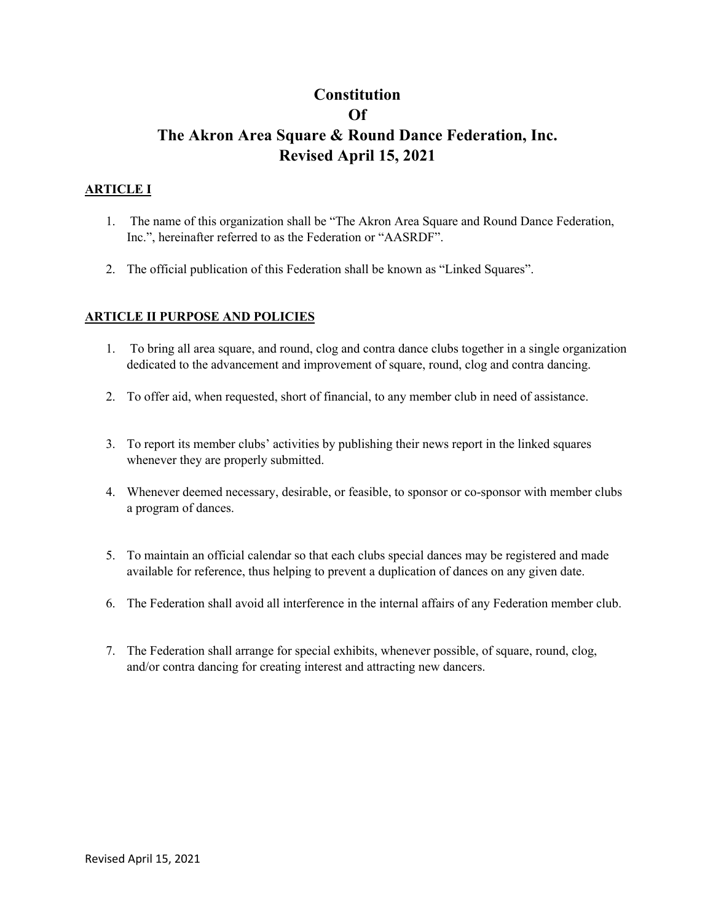# **Constitution Of The Akron Area Square & Round Dance Federation, Inc. Revised April 15, 2021**

# **ARTICLE I**

- 1. The name of this organization shall be "The Akron Area Square and Round Dance Federation, Inc.", hereinafter referred to as the Federation or "AASRDF".
- 2. The official publication of this Federation shall be known as "Linked Squares".

# **ARTICLE II PURPOSE AND POLICIES**

- 1. To bring all area square, and round, clog and contra dance clubs together in a single organization dedicated to the advancement and improvement of square, round, clog and contra dancing.
- 2. To offer aid, when requested, short of financial, to any member club in need of assistance.
- 3. To report its member clubs' activities by publishing their news report in the linked squares whenever they are properly submitted.
- 4. Whenever deemed necessary, desirable, or feasible, to sponsor or co-sponsor with member clubs a program of dances.
- 5. To maintain an official calendar so that each clubs special dances may be registered and made available for reference, thus helping to prevent a duplication of dances on any given date.
- 6. The Federation shall avoid all interference in the internal affairs of any Federation member club.
- 7. The Federation shall arrange for special exhibits, whenever possible, of square, round, clog, and/or contra dancing for creating interest and attracting new dancers.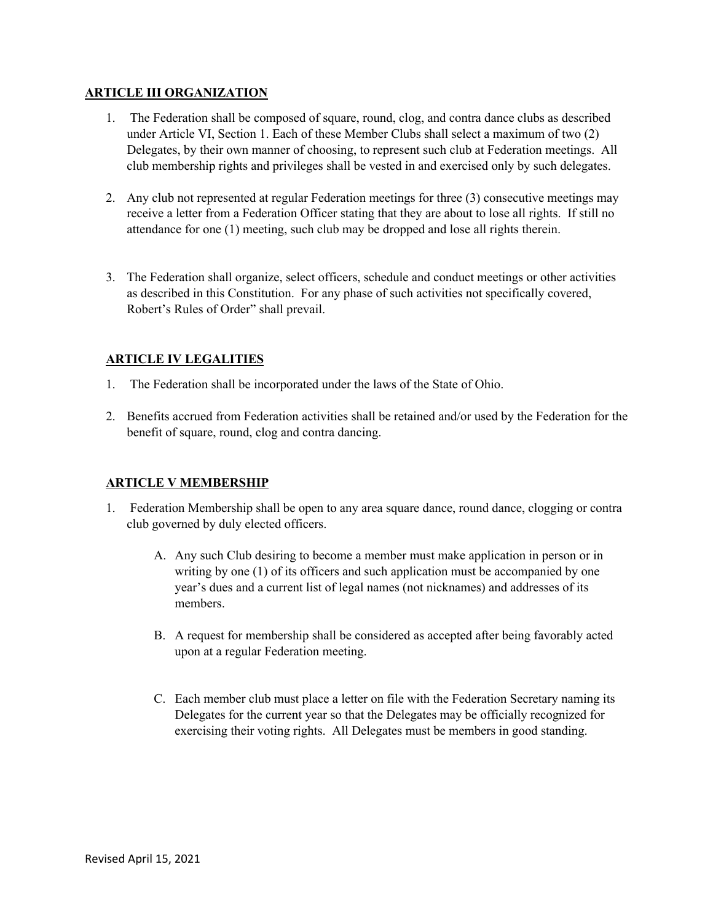# **ARTICLE III ORGANIZATION**

- 1. The Federation shall be composed of square, round, clog, and contra dance clubs as described under Article VI, Section 1. Each of these Member Clubs shall select a maximum of two (2) Delegates, by their own manner of choosing, to represent such club at Federation meetings. All club membership rights and privileges shall be vested in and exercised only by such delegates.
- 2. Any club not represented at regular Federation meetings for three (3) consecutive meetings may receive a letter from a Federation Officer stating that they are about to lose all rights. If still no attendance for one (1) meeting, such club may be dropped and lose all rights therein.
- 3. The Federation shall organize, select officers, schedule and conduct meetings or other activities as described in this Constitution. For any phase of such activities not specifically covered, Robert's Rules of Order" shall prevail.

# **ARTICLE IV LEGALITIES**

- 1. The Federation shall be incorporated under the laws of the State of Ohio.
- 2. Benefits accrued from Federation activities shall be retained and/or used by the Federation for the benefit of square, round, clog and contra dancing.

# **ARTICLE V MEMBERSHIP**

- 1. Federation Membership shall be open to any area square dance, round dance, clogging or contra club governed by duly elected officers.
	- A. Any such Club desiring to become a member must make application in person or in writing by one (1) of its officers and such application must be accompanied by one year's dues and a current list of legal names (not nicknames) and addresses of its members.
	- B. A request for membership shall be considered as accepted after being favorably acted upon at a regular Federation meeting.
	- C. Each member club must place a letter on file with the Federation Secretary naming its Delegates for the current year so that the Delegates may be officially recognized for exercising their voting rights. All Delegates must be members in good standing.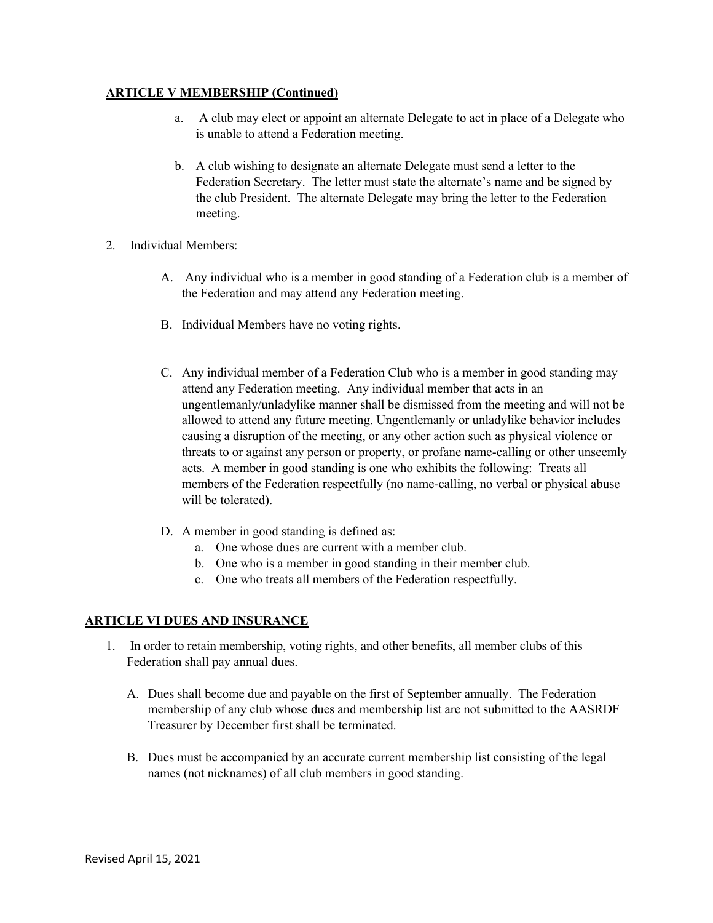# **ARTICLE V MEMBERSHIP (Continued)**

- a. A club may elect or appoint an alternate Delegate to act in place of a Delegate who is unable to attend a Federation meeting.
- b. A club wishing to designate an alternate Delegate must send a letter to the Federation Secretary. The letter must state the alternate's name and be signed by the club President. The alternate Delegate may bring the letter to the Federation meeting.
- 2. Individual Members:
	- A. Any individual who is a member in good standing of a Federation club is a member of the Federation and may attend any Federation meeting.
	- B. Individual Members have no voting rights.
	- C. Any individual member of a Federation Club who is a member in good standing may attend any Federation meeting. Any individual member that acts in an ungentlemanly/unladylike manner shall be dismissed from the meeting and will not be allowed to attend any future meeting. Ungentlemanly or unladylike behavior includes causing a disruption of the meeting, or any other action such as physical violence or threats to or against any person or property, or profane name-calling or other unseemly acts. A member in good standing is one who exhibits the following: Treats all members of the Federation respectfully (no name-calling, no verbal or physical abuse will be tolerated).
	- D. A member in good standing is defined as:
		- a. One whose dues are current with a member club.
		- b. One who is a member in good standing in their member club.
		- c. One who treats all members of the Federation respectfully.

#### **ARTICLE VI DUES AND INSURANCE**

- 1. In order to retain membership, voting rights, and other benefits, all member clubs of this Federation shall pay annual dues.
	- A. Dues shall become due and payable on the first of September annually. The Federation membership of any club whose dues and membership list are not submitted to the AASRDF Treasurer by December first shall be terminated.
	- B. Dues must be accompanied by an accurate current membership list consisting of the legal names (not nicknames) of all club members in good standing.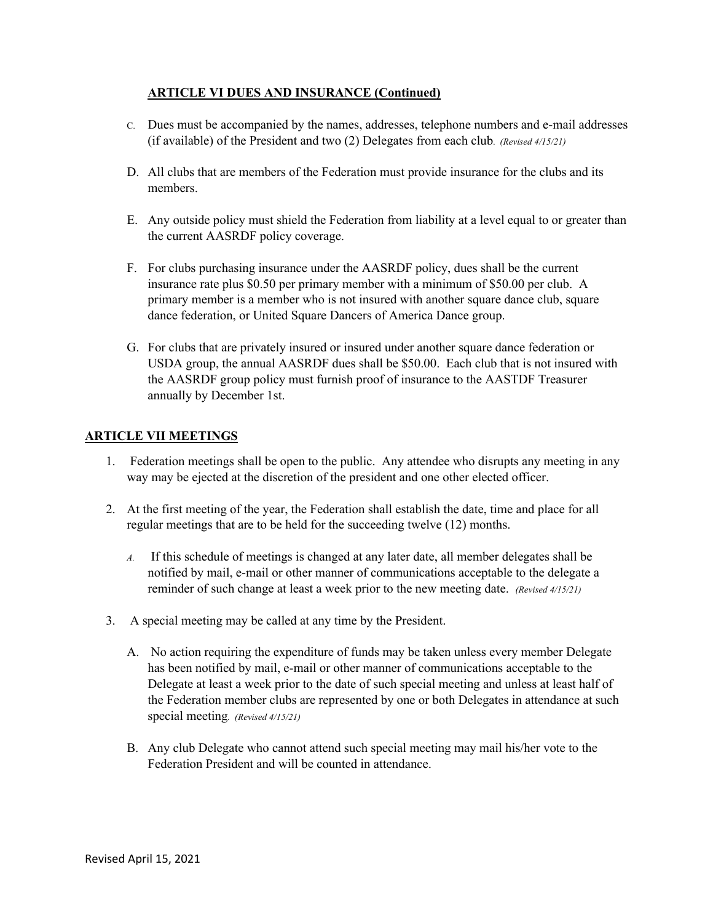# **ARTICLE VI DUES AND INSURANCE (Continued)**

- C. Dues must be accompanied by the names, addresses, telephone numbers and e-mail addresses (if available) of the President and two (2) Delegates from each club. *(Revised 4/15/21)*
- D. All clubs that are members of the Federation must provide insurance for the clubs and its members.
- E. Any outside policy must shield the Federation from liability at a level equal to or greater than the current AASRDF policy coverage.
- F. For clubs purchasing insurance under the AASRDF policy, dues shall be the current insurance rate plus \$0.50 per primary member with a minimum of \$50.00 per club. A primary member is a member who is not insured with another square dance club, square dance federation, or United Square Dancers of America Dance group.
- G. For clubs that are privately insured or insured under another square dance federation or USDA group, the annual AASRDF dues shall be \$50.00. Each club that is not insured with the AASRDF group policy must furnish proof of insurance to the AASTDF Treasurer annually by December 1st.

### **ARTICLE VII MEETINGS**

- 1. Federation meetings shall be open to the public. Any attendee who disrupts any meeting in any way may be ejected at the discretion of the president and one other elected officer.
- 2. At the first meeting of the year, the Federation shall establish the date, time and place for all regular meetings that are to be held for the succeeding twelve (12) months.
	- *A.* If this schedule of meetings is changed at any later date, all member delegates shall be notified by mail, e-mail or other manner of communications acceptable to the delegate a reminder of such change at least a week prior to the new meeting date. *(Revised 4/15/21)*
- 3. A special meeting may be called at any time by the President.
	- A. No action requiring the expenditure of funds may be taken unless every member Delegate has been notified by mail, e-mail or other manner of communications acceptable to the Delegate at least a week prior to the date of such special meeting and unless at least half of the Federation member clubs are represented by one or both Delegates in attendance at such special meeting*. (Revised 4/15/21)*
	- B. Any club Delegate who cannot attend such special meeting may mail his/her vote to the Federation President and will be counted in attendance.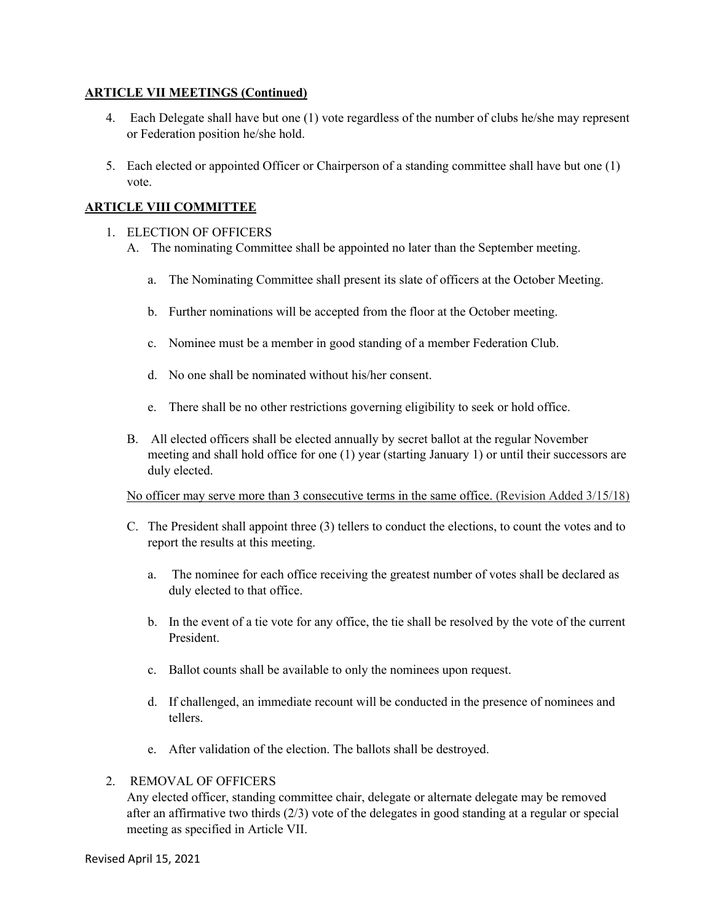### **ARTICLE VII MEETINGS (Continued)**

- 4. Each Delegate shall have but one (1) vote regardless of the number of clubs he/she may represent or Federation position he/she hold.
- 5. Each elected or appointed Officer or Chairperson of a standing committee shall have but one (1) vote.

# **ARTICLE VIII COMMITTEE**

### 1. ELECTION OF OFFICERS

- A. The nominating Committee shall be appointed no later than the September meeting.
	- a. The Nominating Committee shall present its slate of officers at the October Meeting.
	- b. Further nominations will be accepted from the floor at the October meeting.
	- c. Nominee must be a member in good standing of a member Federation Club.
	- d. No one shall be nominated without his/her consent.
	- e. There shall be no other restrictions governing eligibility to seek or hold office.
- B. All elected officers shall be elected annually by secret ballot at the regular November meeting and shall hold office for one (1) year (starting January 1) or until their successors are duly elected.

#### No officer may serve more than 3 consecutive terms in the same office. (Revision Added 3/15/18)

- C. The President shall appoint three (3) tellers to conduct the elections, to count the votes and to report the results at this meeting.
	- a. The nominee for each office receiving the greatest number of votes shall be declared as duly elected to that office.
	- b. In the event of a tie vote for any office, the tie shall be resolved by the vote of the current President.
	- c. Ballot counts shall be available to only the nominees upon request.
	- d. If challenged, an immediate recount will be conducted in the presence of nominees and tellers.
	- e. After validation of the election. The ballots shall be destroyed.

#### 2. REMOVAL OF OFFICERS

Any elected officer, standing committee chair, delegate or alternate delegate may be removed after an affirmative two thirds (2/3) vote of the delegates in good standing at a regular or special meeting as specified in Article VII.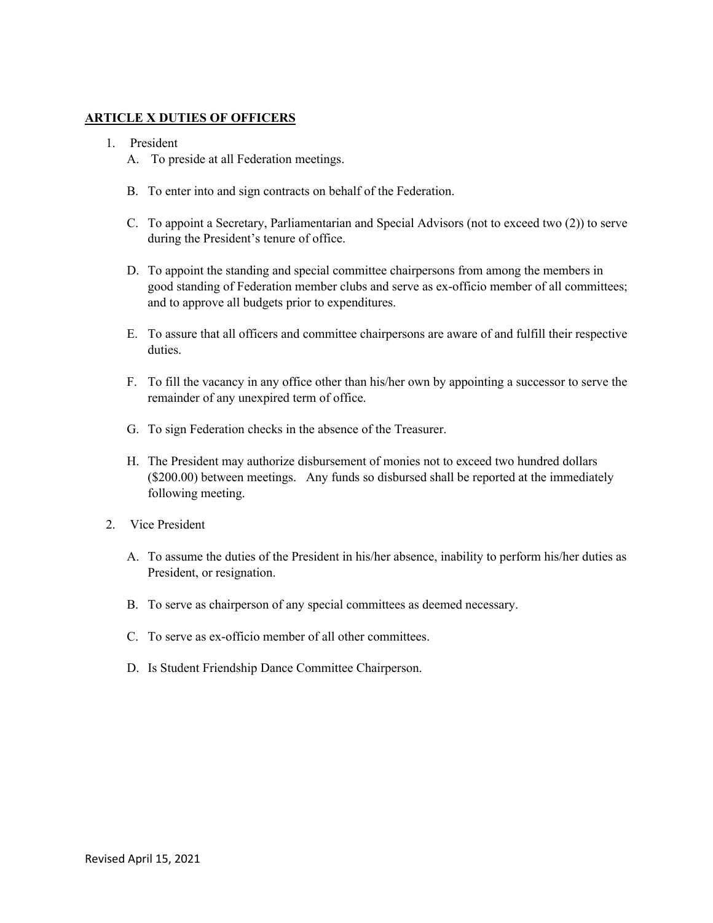### **ARTICLE X DUTIES OF OFFICERS**

- 1. President
	- A. To preside at all Federation meetings.
	- B. To enter into and sign contracts on behalf of the Federation.
	- C. To appoint a Secretary, Parliamentarian and Special Advisors (not to exceed two (2)) to serve during the President's tenure of office.
	- D. To appoint the standing and special committee chairpersons from among the members in good standing of Federation member clubs and serve as ex-officio member of all committees; and to approve all budgets prior to expenditures.
	- E. To assure that all officers and committee chairpersons are aware of and fulfill their respective duties.
	- F. To fill the vacancy in any office other than his/her own by appointing a successor to serve the remainder of any unexpired term of office.
	- G. To sign Federation checks in the absence of the Treasurer.
	- H. The President may authorize disbursement of monies not to exceed two hundred dollars (\$200.00) between meetings. Any funds so disbursed shall be reported at the immediately following meeting.
- 2. Vice President
	- A. To assume the duties of the President in his/her absence, inability to perform his/her duties as President, or resignation.
	- B. To serve as chairperson of any special committees as deemed necessary.
	- C. To serve as ex-officio member of all other committees.
	- D. Is Student Friendship Dance Committee Chairperson.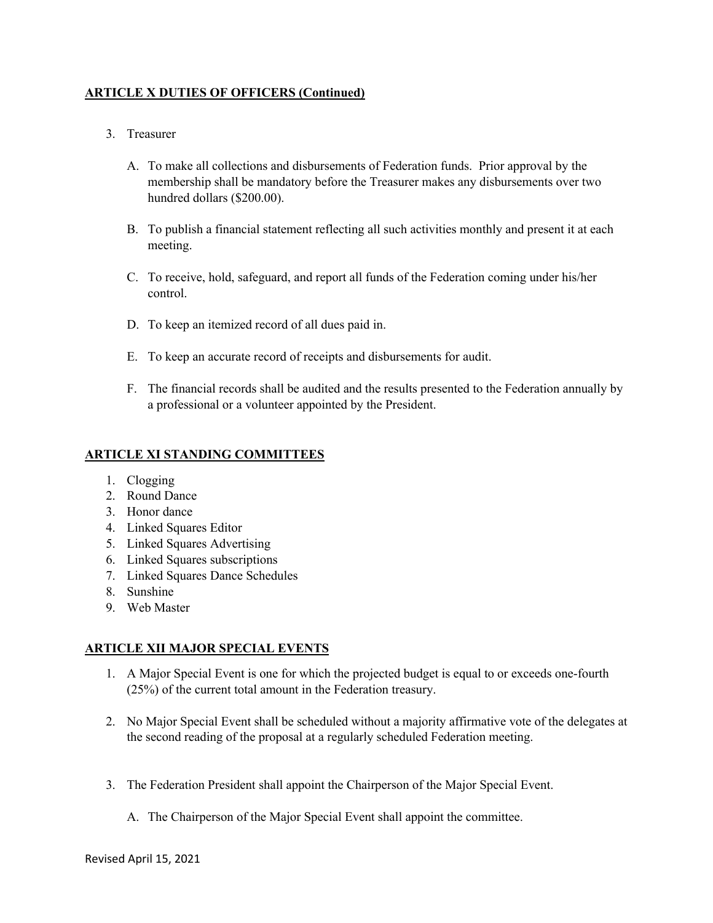# **ARTICLE X DUTIES OF OFFICERS (Continued)**

- 3. Treasurer
	- A. To make all collections and disbursements of Federation funds. Prior approval by the membership shall be mandatory before the Treasurer makes any disbursements over two hundred dollars (\$200.00).
	- B. To publish a financial statement reflecting all such activities monthly and present it at each meeting.
	- C. To receive, hold, safeguard, and report all funds of the Federation coming under his/her control.
	- D. To keep an itemized record of all dues paid in.
	- E. To keep an accurate record of receipts and disbursements for audit.
	- F. The financial records shall be audited and the results presented to the Federation annually by a professional or a volunteer appointed by the President.

# **ARTICLE XI STANDING COMMITTEES**

- 1. Clogging
- 2. Round Dance
- 3. Honor dance
- 4. Linked Squares Editor
- 5. Linked Squares Advertising
- 6. Linked Squares subscriptions
- 7. Linked Squares Dance Schedules
- 8. Sunshine
- 9. Web Master

# **ARTICLE XII MAJOR SPECIAL EVENTS**

- 1. A Major Special Event is one for which the projected budget is equal to or exceeds one-fourth (25%) of the current total amount in the Federation treasury.
- 2. No Major Special Event shall be scheduled without a majority affirmative vote of the delegates at the second reading of the proposal at a regularly scheduled Federation meeting.
- 3. The Federation President shall appoint the Chairperson of the Major Special Event.
	- A. The Chairperson of the Major Special Event shall appoint the committee.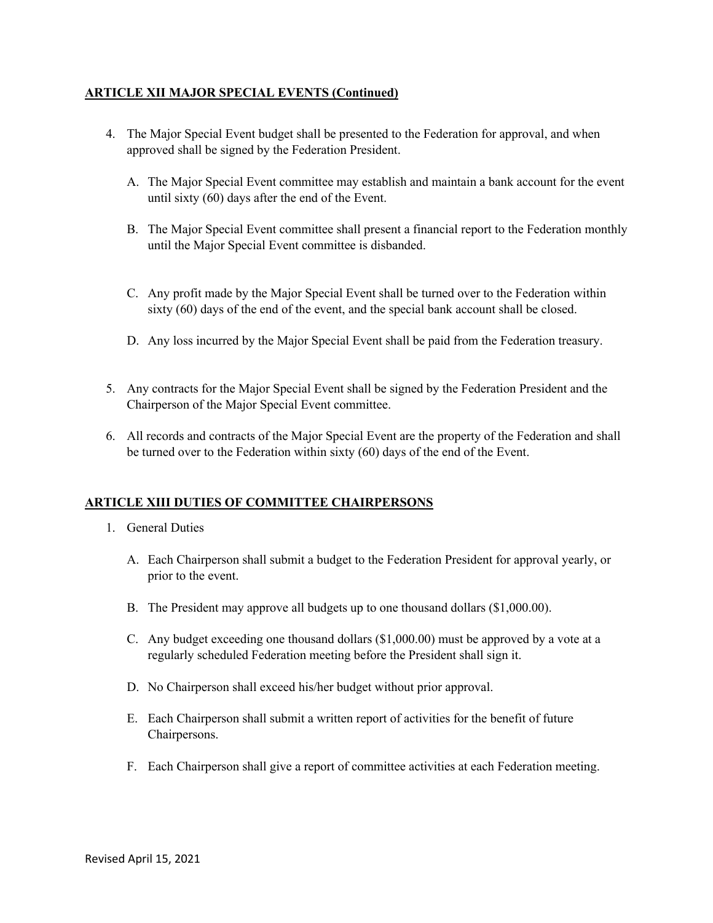# **ARTICLE XII MAJOR SPECIAL EVENTS (Continued)**

- 4. The Major Special Event budget shall be presented to the Federation for approval, and when approved shall be signed by the Federation President.
	- A. The Major Special Event committee may establish and maintain a bank account for the event until sixty (60) days after the end of the Event.
	- B. The Major Special Event committee shall present a financial report to the Federation monthly until the Major Special Event committee is disbanded.
	- C. Any profit made by the Major Special Event shall be turned over to the Federation within sixty (60) days of the end of the event, and the special bank account shall be closed.
	- D. Any loss incurred by the Major Special Event shall be paid from the Federation treasury.
- 5. Any contracts for the Major Special Event shall be signed by the Federation President and the Chairperson of the Major Special Event committee.
- 6. All records and contracts of the Major Special Event are the property of the Federation and shall be turned over to the Federation within sixty (60) days of the end of the Event.

# **ARTICLE XIII DUTIES OF COMMITTEE CHAIRPERSONS**

- 1. General Duties
	- A. Each Chairperson shall submit a budget to the Federation President for approval yearly, or prior to the event.
	- B. The President may approve all budgets up to one thousand dollars (\$1,000.00).
	- C. Any budget exceeding one thousand dollars (\$1,000.00) must be approved by a vote at a regularly scheduled Federation meeting before the President shall sign it.
	- D. No Chairperson shall exceed his/her budget without prior approval.
	- E. Each Chairperson shall submit a written report of activities for the benefit of future Chairpersons.
	- F. Each Chairperson shall give a report of committee activities at each Federation meeting.